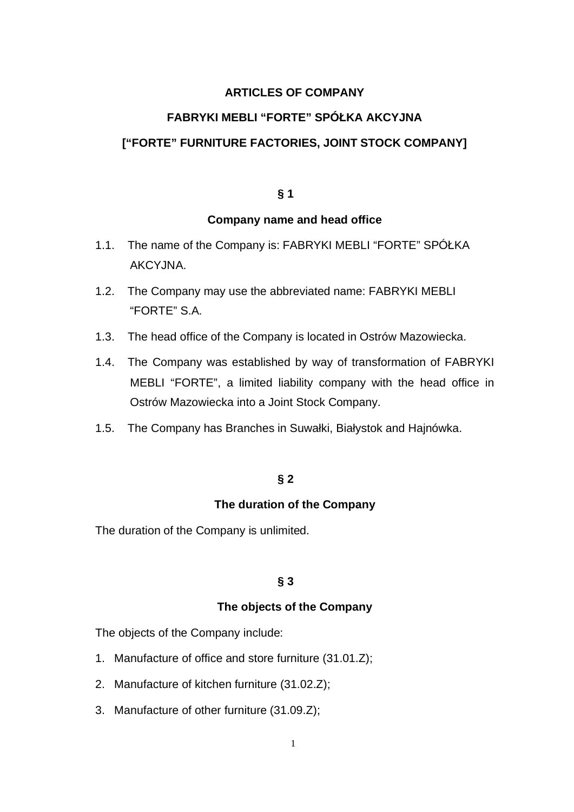# **ARTICLES OF COMPANY**

# **FABRYKI MEBLI "FORTE" SPÓŁKA AKCYJNA**

## **["FORTE" FURNITURE FACTORIES, JOINT STOCK COMPANY]**

## **§ 1**

## **Company name and head office**

- 1.1. The name of the Company is: FABRYKI MEBLI "FORTE" SPÓŁKA AKCYJNA.
- 1.2. The Company may use the abbreviated name: FABRYKI MEBLI "FORTE" S.A.
- 1.3. The head office of the Company is located in Ostrów Mazowiecka.
- 1.4. The Company was established by way of transformation of FABRYKI MEBLI "FORTE", a limited liability company with the head office in Ostrów Mazowiecka into a Joint Stock Company.
- 1.5. The Company has Branches in Suwałki, Białystok and Hajnówka.

### **§ 2**

#### **The duration of the Company**

The duration of the Company is unlimited.

## **§ 3**

#### **The objects of the Company**

The objects of the Company include:

- 1. Manufacture of office and store furniture (31.01.Z);
- 2. Manufacture of kitchen furniture (31.02.Z);
- 3. Manufacture of other furniture (31.09.Z);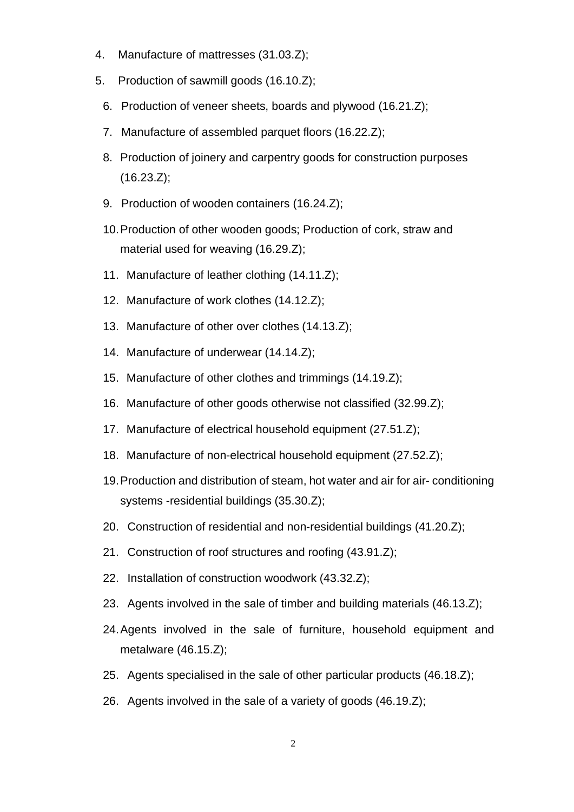- 4. Manufacture of mattresses (31.03.Z);
- 5. Production of sawmill goods (16.10.Z);
	- 6. Production of veneer sheets, boards and plywood (16.21.Z);
	- 7. Manufacture of assembled parquet floors (16.22.Z);
	- 8. Production of joinery and carpentry goods for construction purposes (16.23.Z);
	- 9. Production of wooden containers (16.24.Z);
	- 10. Production of other wooden goods; Production of cork, straw and material used for weaving (16.29.Z);
	- 11. Manufacture of leather clothing (14.11.Z);
	- 12. Manufacture of work clothes (14.12.Z);
	- 13. Manufacture of other over clothes (14.13.Z);
	- 14. Manufacture of underwear (14.14.Z);
	- 15. Manufacture of other clothes and trimmings (14.19.Z);
	- 16. Manufacture of other goods otherwise not classified (32.99.Z);
	- 17. Manufacture of electrical household equipment (27.51.Z);
	- 18. Manufacture of non-electrical household equipment (27.52.Z);
	- 19. Production and distribution of steam, hot water and air for air- conditioning systems -residential buildings (35.30.Z);
	- 20. Construction of residential and non-residential buildings (41.20.Z);
	- 21. Construction of roof structures and roofing (43.91.Z);
	- 22. Installation of construction woodwork (43.32.Z);
	- 23. Agents involved in the sale of timber and building materials (46.13.Z);
	- 24. Agents involved in the sale of furniture, household equipment and metalware (46.15.Z);
	- 25. Agents specialised in the sale of other particular products (46.18.Z);
	- 26. Agents involved in the sale of a variety of goods (46.19.Z);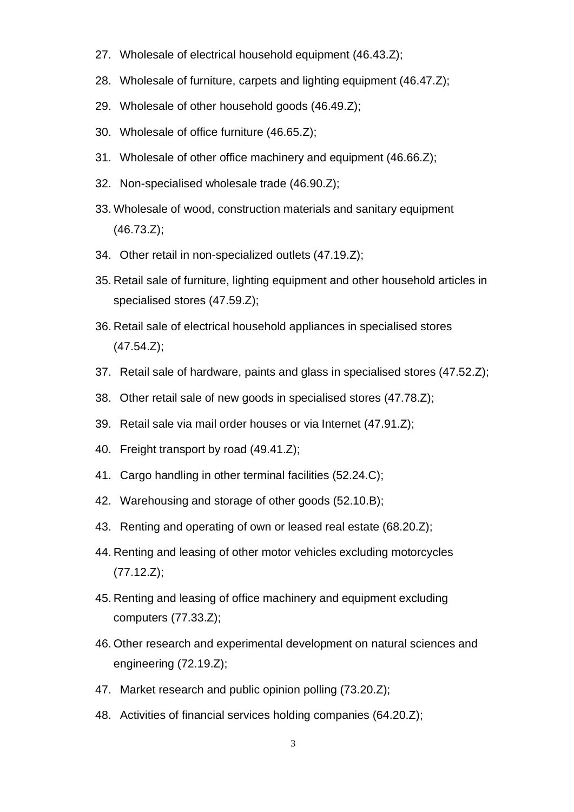- 27. Wholesale of electrical household equipment (46.43.Z);
- 28. Wholesale of furniture, carpets and lighting equipment (46.47.Z);
- 29. Wholesale of other household goods (46.49.Z);
- 30. Wholesale of office furniture (46.65.Z);
- 31. Wholesale of other office machinery and equipment (46.66.Z);
- 32. Non-specialised wholesale trade (46.90.Z);
- 33. Wholesale of wood, construction materials and sanitary equipment (46.73.Z);
- 34. Other retail in non-specialized outlets (47.19.Z);
- 35. Retail sale of furniture, lighting equipment and other household articles in specialised stores (47.59.Z);
- 36. Retail sale of electrical household appliances in specialised stores (47.54.Z);
- 37. Retail sale of hardware, paints and glass in specialised stores (47.52.Z);
- 38. Other retail sale of new goods in specialised stores (47.78.Z);
- 39. Retail sale via mail order houses or via Internet (47.91.Z);
- 40. Freight transport by road (49.41.Z);
- 41. Cargo handling in other terminal facilities (52.24.C);
- 42. Warehousing and storage of other goods (52.10.B);
- 43. Renting and operating of own or leased real estate (68.20.Z);
- 44. Renting and leasing of other motor vehicles excluding motorcycles (77.12.Z);
- 45. Renting and leasing of office machinery and equipment excluding computers (77.33.Z);
- 46. Other research and experimental development on natural sciences and engineering (72.19.Z);
- 47. Market research and public opinion polling (73.20.Z);
- 48. Activities of financial services holding companies (64.20.Z);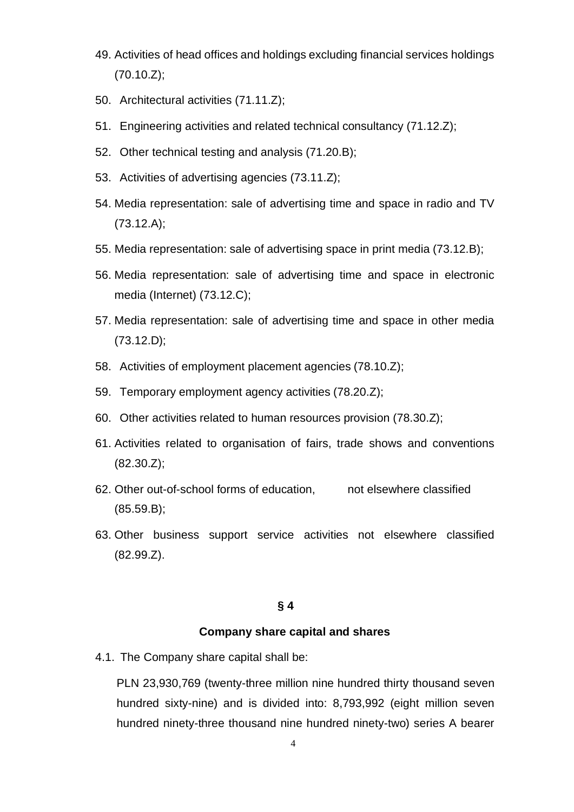- 49. Activities of head offices and holdings excluding financial services holdings (70.10.Z);
- 50. Architectural activities (71.11.Z);
- 51. Engineering activities and related technical consultancy (71.12.Z);
- 52. Other technical testing and analysis (71.20.B);
- 53. Activities of advertising agencies (73.11.Z);
- 54. Media representation: sale of advertising time and space in radio and TV (73.12.A);
- 55. Media representation: sale of advertising space in print media (73.12.B);
- 56. Media representation: sale of advertising time and space in electronic media (Internet) (73.12.C);
- 57. Media representation: sale of advertising time and space in other media (73.12.D);
- 58. Activities of employment placement agencies (78.10.Z);
- 59. Temporary employment agency activities (78.20.Z);
- 60. Other activities related to human resources provision (78.30.Z);
- 61. Activities related to organisation of fairs, trade shows and conventions (82.30.Z);
- 62. Other out-of-school forms of education, not elsewhere classified (85.59.B);
- 63. Other business support service activities not elsewhere classified (82.99.Z).

## **§ 4**

#### **Company share capital and shares**

4.1. The Company share capital shall be:

PLN 23,930,769 (twenty-three million nine hundred thirty thousand seven hundred sixty-nine) and is divided into: 8,793,992 (eight million seven hundred ninety-three thousand nine hundred ninety-two) series A bearer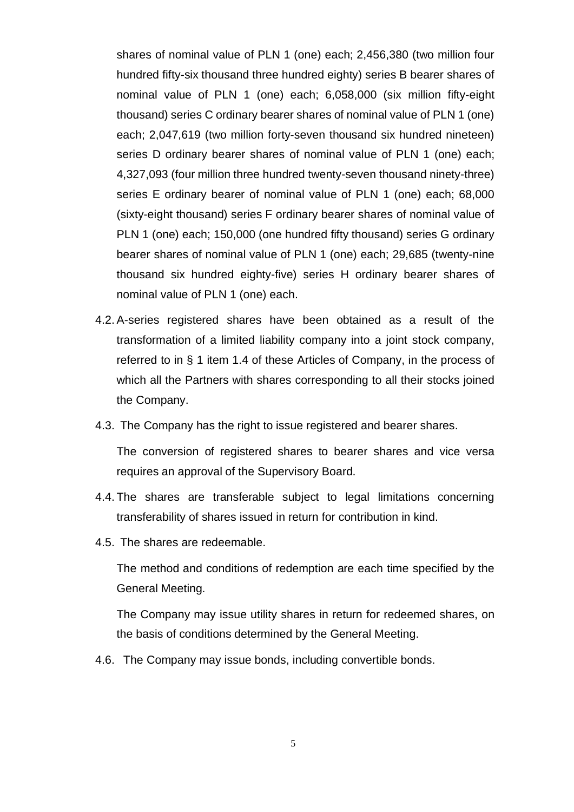shares of nominal value of PLN 1 (one) each; 2,456,380 (two million four hundred fifty-six thousand three hundred eighty) series B bearer shares of nominal value of PLN 1 (one) each; 6,058,000 (six million fifty-eight thousand) series C ordinary bearer shares of nominal value of PLN 1 (one) each; 2,047,619 (two million forty-seven thousand six hundred nineteen) series D ordinary bearer shares of nominal value of PLN 1 (one) each; 4,327,093 (four million three hundred twenty-seven thousand ninety-three) series E ordinary bearer of nominal value of PLN 1 (one) each; 68,000 (sixty-eight thousand) series F ordinary bearer shares of nominal value of PLN 1 (one) each; 150,000 (one hundred fifty thousand) series G ordinary bearer shares of nominal value of PLN 1 (one) each; 29,685 (twenty-nine thousand six hundred eighty-five) series H ordinary bearer shares of nominal value of PLN 1 (one) each.

- 4.2. A-series registered shares have been obtained as a result of the transformation of a limited liability company into a joint stock company, referred to in § 1 item 1.4 of these Articles of Company, in the process of which all the Partners with shares corresponding to all their stocks joined the Company.
- 4.3. The Company has the right to issue registered and bearer shares.

The conversion of registered shares to bearer shares and vice versa requires an approval of the Supervisory Board.

- 4.4. The shares are transferable subject to legal limitations concerning transferability of shares issued in return for contribution in kind.
- 4.5. The shares are redeemable.

The method and conditions of redemption are each time specified by the General Meeting.

The Company may issue utility shares in return for redeemed shares, on the basis of conditions determined by the General Meeting.

4.6. The Company may issue bonds, including convertible bonds.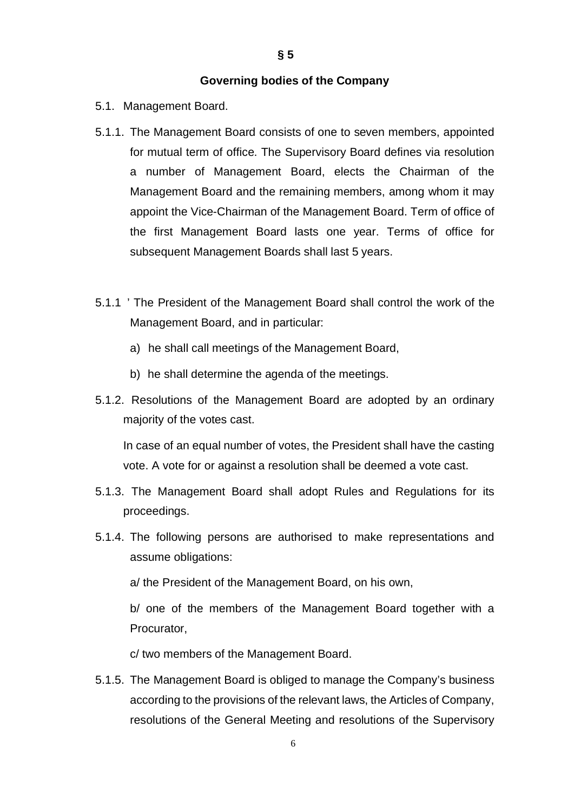#### **Governing bodies of the Company**

- 5.1. Management Board.
- 5.1.1. The Management Board consists of one to seven members, appointed for mutual term of office. The Supervisory Board defines via resolution a number of Management Board, elects the Chairman of the Management Board and the remaining members, among whom it may appoint the Vice-Chairman of the Management Board. Term of office of the first Management Board lasts one year. Terms of office for subsequent Management Boards shall last 5 years.
- 5.1.1 ' The President of the Management Board shall control the work of the Management Board, and in particular:
	- a) he shall call meetings of the Management Board,
	- b) he shall determine the agenda of the meetings.
- 5.1.2. Resolutions of the Management Board are adopted by an ordinary majority of the votes cast.

In case of an equal number of votes, the President shall have the casting vote. A vote for or against a resolution shall be deemed a vote cast.

- 5.1.3. The Management Board shall adopt Rules and Regulations for its proceedings.
- 5.1.4. The following persons are authorised to make representations and assume obligations:

a/ the President of the Management Board, on his own,

b/ one of the members of the Management Board together with a Procurator,

c/ two members of the Management Board.

5.1.5. The Management Board is obliged to manage the Company's business according to the provisions of the relevant laws, the Articles of Company, resolutions of the General Meeting and resolutions of the Supervisory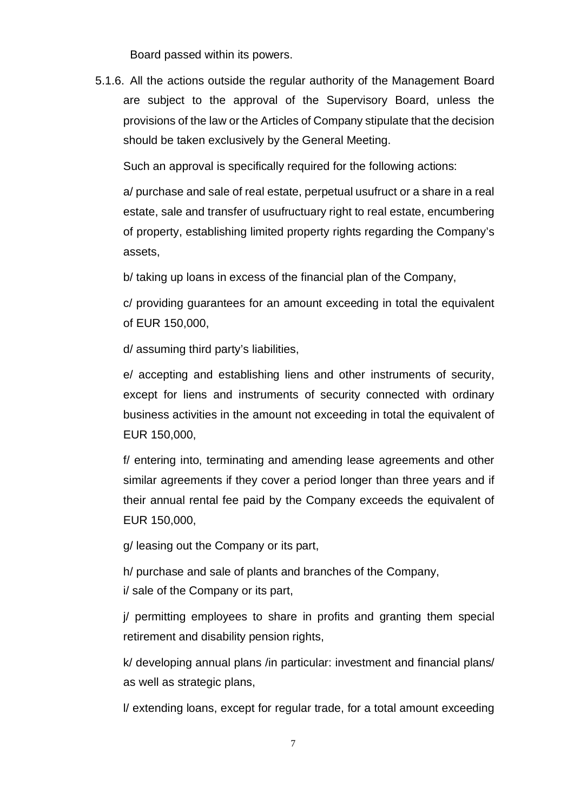Board passed within its powers.

5.1.6. All the actions outside the regular authority of the Management Board are subject to the approval of the Supervisory Board, unless the provisions of the law or the Articles of Company stipulate that the decision should be taken exclusively by the General Meeting.

Such an approval is specifically required for the following actions:

a/ purchase and sale of real estate, perpetual usufruct or a share in a real estate, sale and transfer of usufructuary right to real estate, encumbering of property, establishing limited property rights regarding the Company's assets,

b/ taking up loans in excess of the financial plan of the Company,

c/ providing guarantees for an amount exceeding in total the equivalent of EUR 150,000,

d/ assuming third party's liabilities,

e/ accepting and establishing liens and other instruments of security, except for liens and instruments of security connected with ordinary business activities in the amount not exceeding in total the equivalent of EUR 150,000,

f/ entering into, terminating and amending lease agreements and other similar agreements if they cover a period longer than three years and if their annual rental fee paid by the Company exceeds the equivalent of EUR 150,000,

g/ leasing out the Company or its part,

h/ purchase and sale of plants and branches of the Company, i/ sale of the Company or its part,

j/ permitting employees to share in profits and granting them special retirement and disability pension rights,

k/ developing annual plans /in particular: investment and financial plans/ as well as strategic plans,

l/ extending loans, except for regular trade, for a total amount exceeding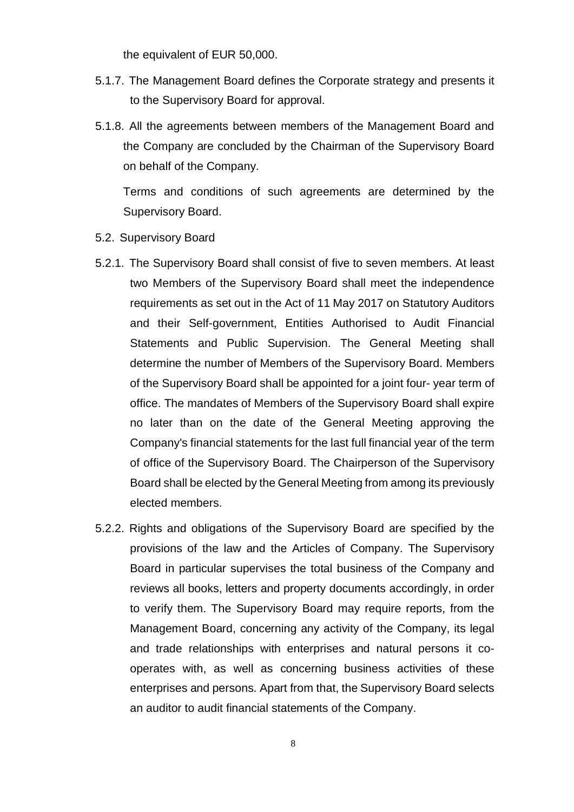the equivalent of EUR 50,000.

- 5.1.7. The Management Board defines the Corporate strategy and presents it to the Supervisory Board for approval.
- 5.1.8. All the agreements between members of the Management Board and the Company are concluded by the Chairman of the Supervisory Board on behalf of the Company.

Terms and conditions of such agreements are determined by the Supervisory Board.

- 5.2. Supervisory Board
- 5.2.1. The Supervisory Board shall consist of five to seven members. At least two Members of the Supervisory Board shall meet the independence requirements as set out in the Act of 11 May 2017 on Statutory Auditors and their Self-government, Entities Authorised to Audit Financial Statements and Public Supervision. The General Meeting shall determine the number of Members of the Supervisory Board. Members of the Supervisory Board shall be appointed for a joint four- year term of office. The mandates of Members of the Supervisory Board shall expire no later than on the date of the General Meeting approving the Company's financial statements for the last full financial year of the term of office of the Supervisory Board. The Chairperson of the Supervisory Board shall be elected by the General Meeting from among its previously elected members.
- 5.2.2. Rights and obligations of the Supervisory Board are specified by the provisions of the law and the Articles of Company. The Supervisory Board in particular supervises the total business of the Company and reviews all books, letters and property documents accordingly, in order to verify them. The Supervisory Board may require reports, from the Management Board, concerning any activity of the Company, its legal and trade relationships with enterprises and natural persons it cooperates with, as well as concerning business activities of these enterprises and persons. Apart from that, the Supervisory Board selects an auditor to audit financial statements of the Company.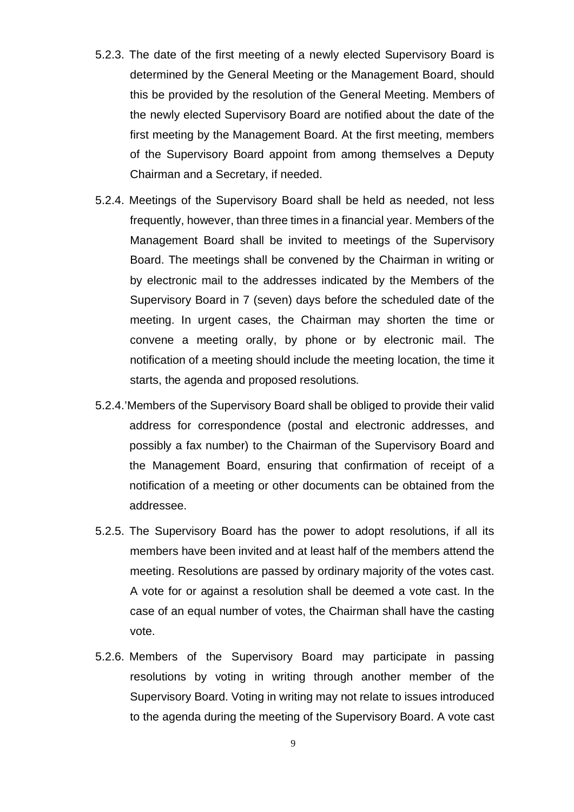- 5.2.3. The date of the first meeting of a newly elected Supervisory Board is determined by the General Meeting or the Management Board, should this be provided by the resolution of the General Meeting. Members of the newly elected Supervisory Board are notified about the date of the first meeting by the Management Board. At the first meeting, members of the Supervisory Board appoint from among themselves a Deputy Chairman and a Secretary, if needed.
- 5.2.4. Meetings of the Supervisory Board shall be held as needed, not less frequently, however, than three times in a financial year. Members of the Management Board shall be invited to meetings of the Supervisory Board. The meetings shall be convened by the Chairman in writing or by electronic mail to the addresses indicated by the Members of the Supervisory Board in 7 (seven) days before the scheduled date of the meeting. In urgent cases, the Chairman may shorten the time or convene a meeting orally, by phone or by electronic mail. The notification of a meeting should include the meeting location, the time it starts, the agenda and proposed resolutions.
- 5.2.4.'Members of the Supervisory Board shall be obliged to provide their valid address for correspondence (postal and electronic addresses, and possibly a fax number) to the Chairman of the Supervisory Board and the Management Board, ensuring that confirmation of receipt of a notification of a meeting or other documents can be obtained from the addressee.
- 5.2.5. The Supervisory Board has the power to adopt resolutions, if all its members have been invited and at least half of the members attend the meeting. Resolutions are passed by ordinary majority of the votes cast. A vote for or against a resolution shall be deemed a vote cast. In the case of an equal number of votes, the Chairman shall have the casting vote.
- 5.2.6. Members of the Supervisory Board may participate in passing resolutions by voting in writing through another member of the Supervisory Board. Voting in writing may not relate to issues introduced to the agenda during the meeting of the Supervisory Board. A vote cast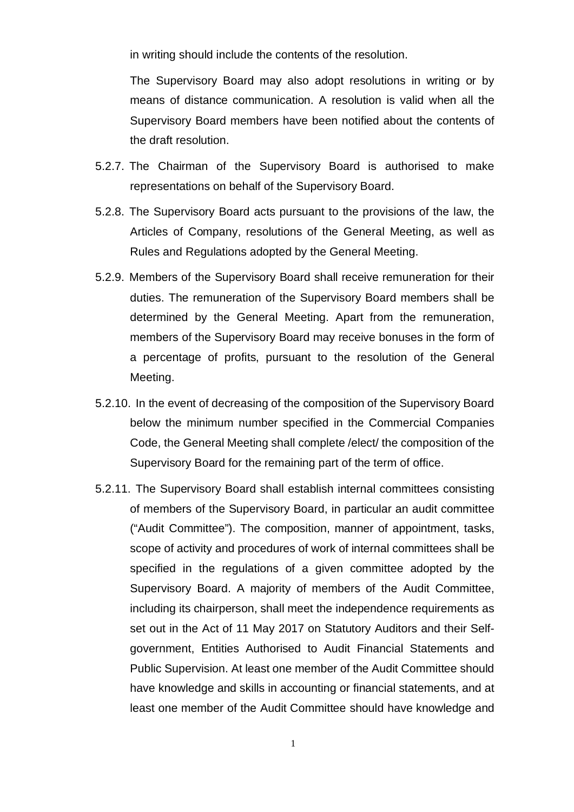in writing should include the contents of the resolution.

The Supervisory Board may also adopt resolutions in writing or by means of distance communication. A resolution is valid when all the Supervisory Board members have been notified about the contents of the draft resolution.

- 5.2.7. The Chairman of the Supervisory Board is authorised to make representations on behalf of the Supervisory Board.
- 5.2.8. The Supervisory Board acts pursuant to the provisions of the law, the Articles of Company, resolutions of the General Meeting, as well as Rules and Regulations adopted by the General Meeting.
- 5.2.9. Members of the Supervisory Board shall receive remuneration for their duties. The remuneration of the Supervisory Board members shall be determined by the General Meeting. Apart from the remuneration, members of the Supervisory Board may receive bonuses in the form of a percentage of profits, pursuant to the resolution of the General Meeting.
- 5.2.10. In the event of decreasing of the composition of the Supervisory Board below the minimum number specified in the Commercial Companies Code, the General Meeting shall complete /elect/ the composition of the Supervisory Board for the remaining part of the term of office.
- 5.2.11. The Supervisory Board shall establish internal committees consisting of members of the Supervisory Board, in particular an audit committee ("Audit Committee"). The composition, manner of appointment, tasks, scope of activity and procedures of work of internal committees shall be specified in the regulations of a given committee adopted by the Supervisory Board. A majority of members of the Audit Committee, including its chairperson, shall meet the independence requirements as set out in the Act of 11 May 2017 on Statutory Auditors and their Selfgovernment, Entities Authorised to Audit Financial Statements and Public Supervision. At least one member of the Audit Committee should have knowledge and skills in accounting or financial statements, and at least one member of the Audit Committee should have knowledge and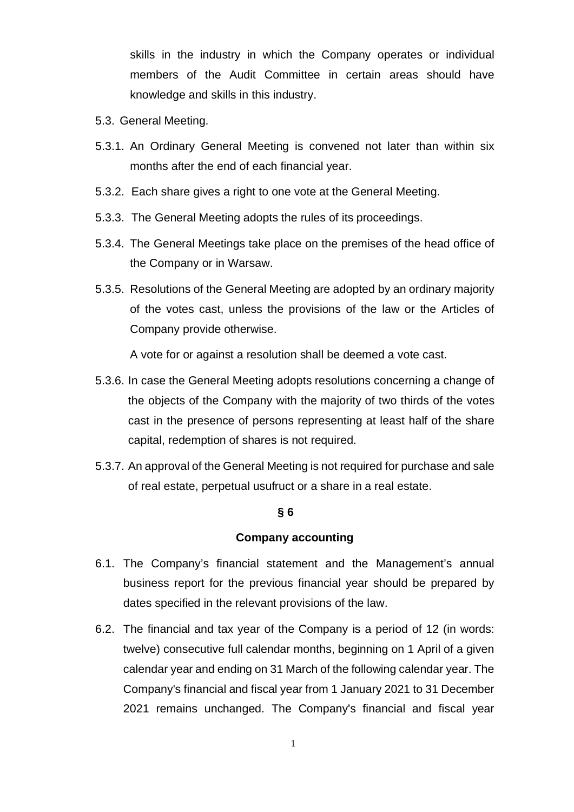skills in the industry in which the Company operates or individual members of the Audit Committee in certain areas should have knowledge and skills in this industry.

- 5.3. General Meeting.
- 5.3.1. An Ordinary General Meeting is convened not later than within six months after the end of each financial year.
- 5.3.2. Each share gives a right to one vote at the General Meeting.
- 5.3.3. The General Meeting adopts the rules of its proceedings.
- 5.3.4. The General Meetings take place on the premises of the head office of the Company or in Warsaw.
- 5.3.5. Resolutions of the General Meeting are adopted by an ordinary majority of the votes cast, unless the provisions of the law or the Articles of Company provide otherwise.

A vote for or against a resolution shall be deemed a vote cast.

- 5.3.6. In case the General Meeting adopts resolutions concerning a change of the objects of the Company with the majority of two thirds of the votes cast in the presence of persons representing at least half of the share capital, redemption of shares is not required.
- 5.3.7. An approval of the General Meeting is not required for purchase and sale of real estate, perpetual usufruct or a share in a real estate.

## **§ 6**

## **Company accounting**

- 6.1. The Company's financial statement and the Management's annual business report for the previous financial year should be prepared by dates specified in the relevant provisions of the law.
- 6.2. The financial and tax year of the Company is a period of 12 (in words: twelve) consecutive full calendar months, beginning on 1 April of a given calendar year and ending on 31 March of the following calendar year. The Company's financial and fiscal year from 1 January 2021 to 31 December 2021 remains unchanged. The Company's financial and fiscal year